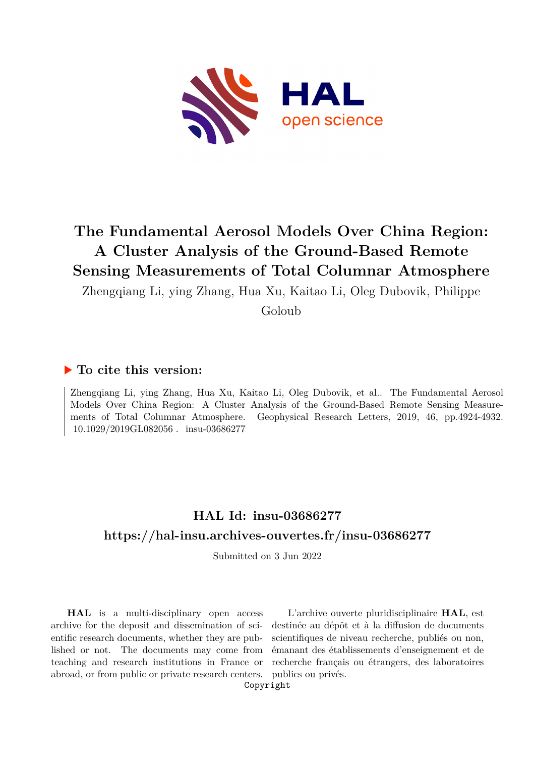

## **The Fundamental Aerosol Models Over China Region: A Cluster Analysis of the Ground-Based Remote Sensing Measurements of Total Columnar Atmosphere**

Zhengqiang Li, ying Zhang, Hua Xu, Kaitao Li, Oleg Dubovik, Philippe

Goloub

## **To cite this version:**

Zhengqiang Li, ying Zhang, Hua Xu, Kaitao Li, Oleg Dubovik, et al.. The Fundamental Aerosol Models Over China Region: A Cluster Analysis of the Ground-Based Remote Sensing Measurements of Total Columnar Atmosphere. Geophysical Research Letters, 2019, 46, pp.4924-4932. 10.1029/2019GL082056. insu-03686277

## **HAL Id: insu-03686277 <https://hal-insu.archives-ouvertes.fr/insu-03686277>**

Submitted on 3 Jun 2022

**HAL** is a multi-disciplinary open access archive for the deposit and dissemination of scientific research documents, whether they are published or not. The documents may come from teaching and research institutions in France or abroad, or from public or private research centers.

L'archive ouverte pluridisciplinaire **HAL**, est destinée au dépôt et à la diffusion de documents scientifiques de niveau recherche, publiés ou non, émanant des établissements d'enseignement et de recherche français ou étrangers, des laboratoires publics ou privés.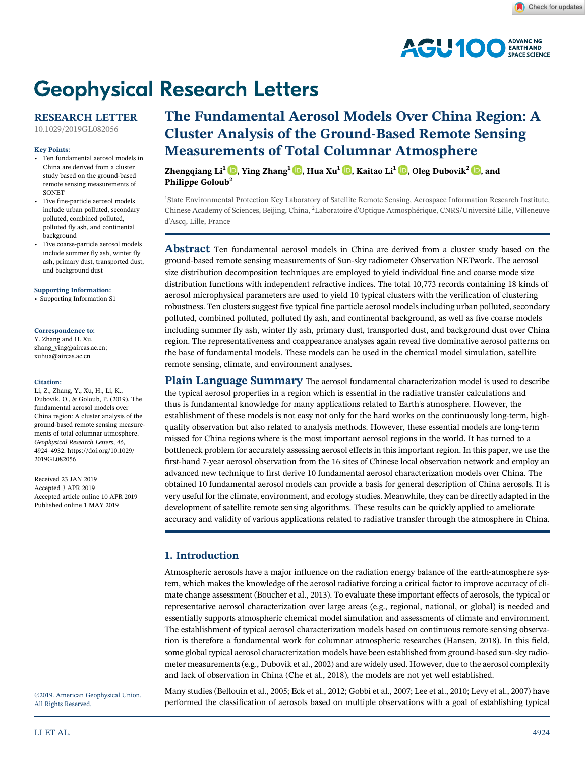

### RESEARCH LETTER

[10.1029/2019GL082056](http://dx.doi.org/10.1029/2019GL082056)

#### Key Points:

- Ten fundamental aerosol models in China are derived from a cluster study based on the ground‐based remote sensing measurements of **SONET**
- Five fine‐particle aerosol models include urban polluted, secondary polluted, combined polluted, polluted fly ash, and continental background
- Five coarse‐particle aerosol models include summer fly ash, winter fly ash, primary dust, transported dust, and background dust

#### [Supporting Information:](http://dx.doi.org/10.1029/2019GL082056)

[•](http://dx.doi.org/10.1029/2019GL082056) [Supporting Information S1](http://dx.doi.org/10.1029/2019GL082056)

#### Correspondence to:

Y. Zhang and H. Xu, [zhang\\_ying@aircas.ac.cn](mailto:zhang_ying@aircas.ac.cn); [xuhua@aircas.ac.cn](mailto:xuhua@aircas.ac.cn)

#### Citation:

Li, Z., Zhang, Y., Xu, H., Li, K., Dubovik, O., & Goloub, P. (2019). The fundamental aerosol models over China region: A cluster analysis of the ground‐based remote sensing measurements of total columnar atmosphere. Geophysical Research Letters, 46, 4924–4932. [https://doi.org/10.1029/](https://doi.org/10.1029/2019GL082056) [2019GL082056](https://doi.org/10.1029/2019GL082056)

Received 23 JAN 2019 Accepted 3 APR 2019 Accepted article online 10 APR 2019 Published online 1 MAY 2019

# The Fundamental Aerosol Models Over China Region: A **Geophysical Research Letters**<br>RESEARCH LETTER The Fundamental Aerosol Models Over China Region:<br>Cluster Analysis of the Ground-Based Remote Sensing Measurements of Total Columnar Atmosphere

Zhengqiang Li<sup>1</sup>  $\Box$ [,](https://orcid.org/0000-0002-2610-0064) Ying Zhang<sup>1</sup>  $\Box$ , Hua Xu<sup>1</sup>  $\Box$ , Kaitao Li<sup>1</sup>  $\Box$ , Oleg Dubovik<sup>2</sup>  $\Box$ , and Philippe Goloub<sup>2</sup>

<sup>1</sup>State Environmental Protection Key Laboratory of Satellite Remote Sensing, Aerospace Information Research Institute, Chinese Academy of Sciences, Beijing, China, <sup>2</sup> Laboratoire d'Optique Atmosphérique, CNRS/Université Lille, Villeneuve d'Ascq, Lille, France

**Abstract** Ten fundamental aerosol models in China are derived from a cluster study based on the ground‐based remote sensing measurements of Sun‐sky radiometer Observation NETwork. The aerosol size distribution decomposition techniques are employed to yield individual fine and coarse mode size distribution functions with independent refractive indices. The total 10,773 records containing 18 kinds of aerosol microphysical parameters are used to yield 10 typical clusters with the verification of clustering robustness. Ten clusters suggest five typical fine particle aerosol models including urban polluted, secondary polluted, combined polluted, polluted fly ash, and continental background, as well as five coarse models including summer fly ash, winter fly ash, primary dust, transported dust, and background dust over China region. The representativeness and coappearance analyses again reveal five dominative aerosol patterns on the base of fundamental models. These models can be used in the chemical model simulation, satellite remote sensing, climate, and environment analyses.

**Plain Language Summary** The aerosol fundamental characterization model is used to describe the typical aerosol properties in a region which is essential in the radiative transfer calculations and thus is fundamental knowledge for many applications related to Earth's atmosphere. However, the establishment of these models is not easy not only for the hard works on the continuously long-term, highquality observation but also related to analysis methods. However, these essential models are long‐term missed for China regions where is the most important aerosol regions in the world. It has turned to a bottleneck problem for accurately assessing aerosol effects in this important region. In this paper, we use the first-hand 7-year aerosol observation from the 16 sites of Chinese local observation network and employ an advanced new technique to first derive 10 fundamental aerosol characterization models over China. The obtained 10 fundamental aerosol models can provide a basis for general description of China aerosols. It is very useful for the climate, environment, and ecology studies. Meanwhile, they can be directly adapted in the development of satellite remote sensing algorithms. These results can be quickly applied to ameliorate accuracy and validity of various applications related to radiative transfer through the atmosphere in China.

#### 1. Introduction

Atmospheric aerosols have a major influence on the radiation energy balance of the earth‐atmosphere system, which makes the knowledge of the aerosol radiative forcing a critical factor to improve accuracy of climate change assessment (Boucher et al., 2013). To evaluate these important effects of aerosols, the typical or representative aerosol characterization over large areas (e.g., regional, national, or global) is needed and essentially supports atmospheric chemical model simulation and assessments of climate and environment. The establishment of typical aerosol characterization models based on continuous remote sensing observation is therefore a fundamental work for columnar atmospheric researches (Hansen, 2018). In this field, some global typical aerosol characterization models have been established from ground-based sun-sky radiometer measurements (e.g., Dubovik et al., 2002) and are widely used. However, due to the aerosol complexity and lack of observation in China (Che et al., 2018), the models are not yet well established.

©2019. American Geophysical Union. All Rights Reserved.

Many studies (Bellouin et al., 2005; Eck et al., 2012; Gobbi et al., 2007; Lee et al., 2010; Levy et al., 2007) have performed the classification of aerosols based on multiple observations with a goal of establishing typical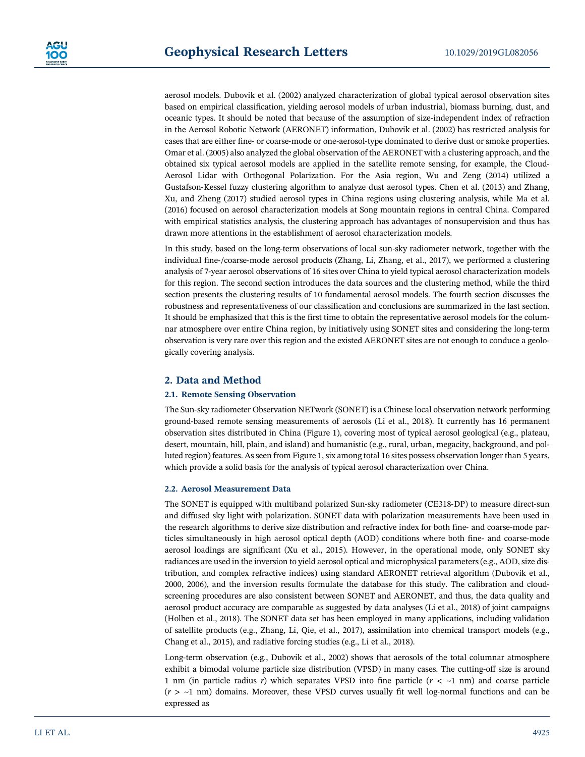aerosol models. Dubovik et al. (2002) analyzed characterization of global typical aerosol observation sites based on empirical classification, yielding aerosol models of urban industrial, biomass burning, dust, and oceanic types. It should be noted that because of the assumption of size‐independent index of refraction in the Aerosol Robotic Network (AERONET) information, Dubovik et al. (2002) has restricted analysis for cases that are either fine‐ or coarse‐mode or one‐aerosol‐type dominated to derive dust or smoke properties. Omar et al. (2005) also analyzed the global observation of the AERONET with a clustering approach, and the obtained six typical aerosol models are applied in the satellite remote sensing, for example, the Cloud‐ Aerosol Lidar with Orthogonal Polarization. For the Asia region, Wu and Zeng (2014) utilized a Gustafson‐Kessel fuzzy clustering algorithm to analyze dust aerosol types. Chen et al. (2013) and Zhang, Xu, and Zheng (2017) studied aerosol types in China regions using clustering analysis, while Ma et al. (2016) focused on aerosol characterization models at Song mountain regions in central China. Compared with empirical statistics analysis, the clustering approach has advantages of nonsupervision and thus has drawn more attentions in the establishment of aerosol characterization models.

In this study, based on the long-term observations of local sun-sky radiometer network, together with the individual fine‐/coarse‐mode aerosol products (Zhang, Li, Zhang, et al., 2017), we performed a clustering analysis of 7‐year aerosol observations of 16 sites over China to yield typical aerosol characterization models for this region. The second section introduces the data sources and the clustering method, while the third section presents the clustering results of 10 fundamental aerosol models. The fourth section discusses the robustness and representativeness of our classification and conclusions are summarized in the last section. It should be emphasized that this is the first time to obtain the representative aerosol models for the columnar atmosphere over entire China region, by initiatively using SONET sites and considering the long-term observation is very rare over this region and the existed AERONET sites are not enough to conduce a geologically covering analysis.

#### 2. Data and Method

#### 2.1. Remote Sensing Observation

The Sun‐sky radiometer Observation NETwork (SONET) is a Chinese local observation network performing ground‐based remote sensing measurements of aerosols (Li et al., 2018). It currently has 16 permanent observation sites distributed in China (Figure 1), covering most of typical aerosol geological (e.g., plateau, desert, mountain, hill, plain, and island) and humanistic (e.g., rural, urban, megacity, background, and polluted region) features. As seen from Figure 1, six among total 16 sites possess observation longer than 5 years, which provide a solid basis for the analysis of typical aerosol characterization over China.

#### 2.2. Aerosol Measurement Data

The SONET is equipped with multiband polarized Sun-sky radiometer (CE318-DP) to measure direct-sun and diffused sky light with polarization. SONET data with polarization measurements have been used in the research algorithms to derive size distribution and refractive index for both fine- and coarse-mode particles simultaneously in high aerosol optical depth (AOD) conditions where both fine- and coarse-mode aerosol loadings are significant (Xu et al., 2015). However, in the operational mode, only SONET sky radiances are used in the inversion to yield aerosol optical and microphysical parameters (e.g., AOD, size distribution, and complex refractive indices) using standard AERONET retrieval algorithm (Dubovik et al., 2000, 2006), and the inversion results formulate the database for this study. The calibration and cloud‐ screening procedures are also consistent between SONET and AERONET, and thus, the data quality and aerosol product accuracy are comparable as suggested by data analyses (Li et al., 2018) of joint campaigns (Holben et al., 2018). The SONET data set has been employed in many applications, including validation of satellite products (e.g., Zhang, Li, Qie, et al., 2017), assimilation into chemical transport models (e.g., Chang et al., 2015), and radiative forcing studies (e.g., Li et al., 2018).

Long-term observation (e.g., Dubovik et al., 2002) shows that aerosols of the total columnar atmosphere exhibit a bimodal volume particle size distribution (VPSD) in many cases. The cutting-off size is around 1 nm (in particle radius r) which separates VPSD into fine particle ( $r < -1$  nm) and coarse particle  $(r > -1$  nm) domains. Moreover, these VPSD curves usually fit well log-normal functions and can be expressed as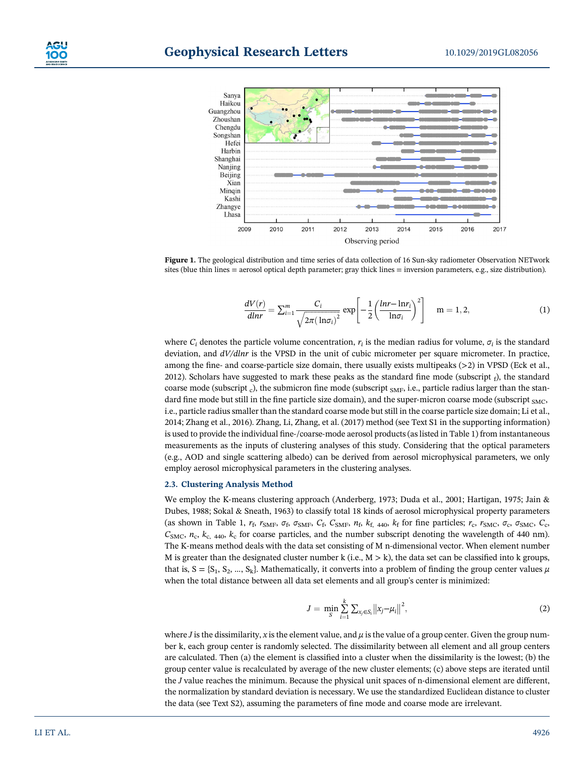



Figure 1. The geological distribution and time series of data collection of 16 Sun-sky radiometer Observation NETwork sites (blue thin lines = aerosol optical depth parameter; gray thick lines = inversion parameters, e.g., size distribution).

$$
\frac{dV(r)}{dlnr} = \sum_{i=1}^{m} \frac{C_i}{\sqrt{2\pi (\ln \sigma_i)^2}} \exp\left[-\frac{1}{2} \left(\frac{lnr - lnr_i}{ln \sigma_i}\right)^2\right] \quad m = 1, 2,
$$
\n(1)

where  $C_i$  denotes the particle volume concentration,  $r_i$  is the median radius for volume,  $\sigma_i$  is the standard deviation, and  $dV/dhr$  is the VPSD in the unit of cubic micrometer per square micrometer. In practice, among the fine- and coarse-particle size domain, there usually exists multipeaks  $(>2)$  in VPSD (Eck et al., 2012). Scholars have suggested to mark these peaks as the standard fine mode (subscript  $_f$ ), the standard coarse mode (subscript  $_{\rm c}$ ), the submicron fine mode (subscript  $_{\rm SMF}$ , i.e., particle radius larger than the standard fine mode but still in the fine particle size domain), and the super-micron coarse mode (subscript <sub>SMC</sub>, i.e., particle radius smaller than the standard coarse mode but still in the coarse particle size domain; Li et al., 2014; Zhang et al., 2016). Zhang, Li, Zhang, et al. (2017) method (see Text S1 in the supporting information) is used to provide the individual fine‐/coarse‐mode aerosol products (as listed in Table 1) from instantaneous measurements as the inputs of clustering analyses of this study. Considering that the optical parameters (e.g., AOD and single scattering albedo) can be derived from aerosol microphysical parameters, we only employ aerosol microphysical parameters in the clustering analyses.

#### 2.3. Clustering Analysis Method

We employ the K-means clustering approach (Anderberg, 1973; Duda et al., 2001; Hartigan, 1975; Jain & Dubes, 1988; Sokal & Sneath, 1963) to classify total 18 kinds of aerosol microphysical property parameters (as shown in Table 1,  $r_f$ ,  $r_{\text{SMF}}$ ,  $\sigma_f$ ,  $\sigma_{\text{SMF}}$ ,  $C_f$ ,  $C_{\text{SMF}}$ ,  $n_f$ ,  $k_f$ ,  $440$ ,  $k_f$  for fine particles;  $r_c$ ,  $r_{\text{SMC}}$ ,  $\sigma_c$ ,  $\sigma_{\text{SMC}}$ ,  $C_c$ ,  $C_{\text{SMC}}$ ,  $n_c$ ,  $k_c$ ,  $440$ ,  $k_c$  for coarse particles, and the number subscript denoting the wavelength of 440 nm). The K-means method deals with the data set consisting of M n-dimensional vector. When element number M is greater than the designated cluster number k (i.e.,  $M > k$ ), the data set can be classified into k groups, that is,  $S = \{S_1, S_2, ..., S_k\}$ . Mathematically, it converts into a problem of finding the group center values  $\mu$ when the total distance between all data set elements and all group's center is minimized:

$$
J = \min_{S} \sum_{i=1}^{k} \sum_{x_j \in S_i} ||x_j - \mu_i||^2,
$$
 (2)

where J is the dissimilarity, x is the element value, and  $\mu$  is the value of a group center. Given the group number k, each group center is randomly selected. The dissimilarity between all element and all group centers are calculated. Then (a) the element is classified into a cluster when the dissimilarity is the lowest; (b) the group center value is recalculated by average of the new cluster elements; (c) above steps are iterated until the J value reaches the minimum. Because the physical unit spaces of n-dimensional element are different, the normalization by standard deviation is necessary. We use the standardized Euclidean distance to cluster the data (see Text S2), assuming the parameters of fine mode and coarse mode are irrelevant.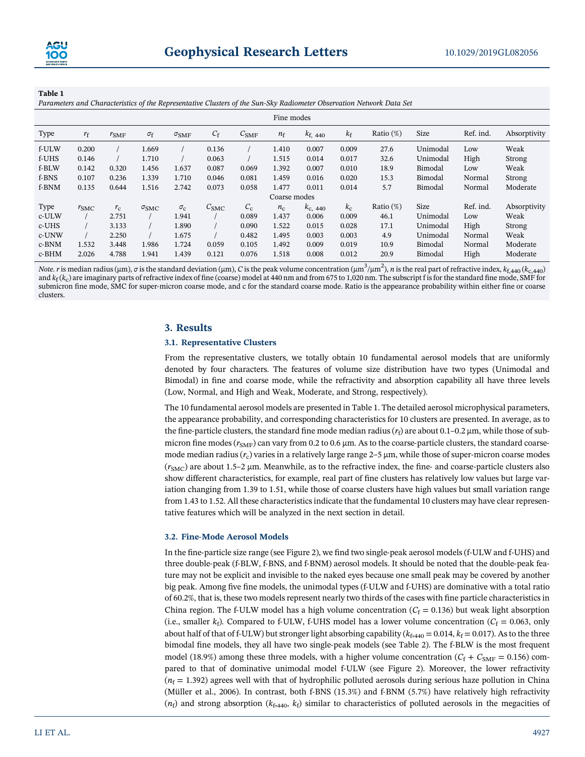Table 1

Parameters and Characteristics of the Representative Clusters of the Sun‐Sky Radiometer Observation Network Data Set

| Fine modes   |               |                  |                    |                    |               |               |             |                  |             |              |          |           |              |
|--------------|---------------|------------------|--------------------|--------------------|---------------|---------------|-------------|------------------|-------------|--------------|----------|-----------|--------------|
| Type         | $r_{\rm f}$   | $r_{\text{SMF}}$ | $\sigma_{\rm f}$   | $\sigma_{\rm SMF}$ | $C_{\rm f}$   | $C_{\rm SMF}$ | $n_{\rm f}$ | $k_{\rm f, 440}$ | $k_{\rm f}$ | Ratio $(\%)$ | Size     | Ref. ind. | Absorptivity |
| f-ULW        | 0.200         |                  | 1.669              |                    | 0.136         |               | 1.410       | 0.007            | 0.009       | 27.6         | Unimodal | Low       | Weak         |
| f-UHS        | 0.146         |                  | 1.710              |                    | 0.063         |               | 1.515       | 0.014            | 0.017       | 32.6         | Unimodal | High      | Strong       |
| f-BLW        | 0.142         | 0.320            | 1.456              | 1.637              | 0.087         | 0.069         | 1.392       | 0.007            | 0.010       | 18.9         | Bimodal  | Low       | Weak         |
| f-BNS        | 0.107         | 0.236            | 1.339              | 1.710              | 0.046         | 0.081         | 1.459       | 0.016            | 0.020       | 15.3         | Bimodal  | Normal    | Strong       |
| f-BNM        | 0.135         | 0.644            | 1.516              | 2.742              | 0.073         | 0.058         | 1.477       | 0.011            | 0.014       | 5.7          | Bimodal  | Normal    | Moderate     |
| Coarse modes |               |                  |                    |                    |               |               |             |                  |             |              |          |           |              |
| Type         | $r_{\rm SMC}$ | $r_{\rm c}$      | $\sigma_{\rm SMC}$ | $\sigma_{\rm c}$   | $C_{\rm SMC}$ | $C_{\rm c}$   | $n_{\rm c}$ | $k_{c, 440}$     | $k_{\rm c}$ | Ratio $(\%)$ | Size     | Ref. ind. | Absorptivity |
| c-ULW        |               | 2.751            |                    | 1.941              |               | 0.089         | 1.437       | 0.006            | 0.009       | 46.1         | Unimodal | Low       | Weak         |
| $c$ -UHS     |               | 3.133            |                    | 1.890              |               | 0.090         | 1.522       | 0.015            | 0.028       | 17.1         | Unimodal | High      | Strong       |
| c-UNW        |               | 2.250            |                    | 1.675              |               | 0.482         | 1.495       | 0.003            | 0.003       | 4.9          | Unimodal | Normal    | Weak         |
| $c-BNM$      | 1.532         | 3.448            | 1.986              | 1.724              | 0.059         | 0.105         | 1.492       | 0.009            | 0.019       | 10.9         | Bimodal  | Normal    | Moderate     |
| $c$ -BHM     | 2.026         | 4.788            | 1.941              | 1.439              | 0.121         | 0.076         | 1.518       | 0.008            | 0.012       | 20.9         | Bimodal  | High      | Moderate     |

*Note. r* is median radius (μm), σ is the standard deviation (μm), C is the peak volume concentration (μm $^3$ /μm $^2$ ), *n* is the real part of refractive index, k<sub>f,440</sub> (k<sub>c,440</sub>) and  $k_f(k_c)$  are imaginary parts of refractive index of fine (coarse) model at 440 nm and from 675 to 1,020 nm. The subscript f is for the standard fine mode, SMF for submicron fine mode, SMC for super-micron coarse mode, and c for the standard coarse mode. Ratio is the appearance probability within either fine or coarse clusters.

#### 3. Results

#### 3.1. Representative Clusters

From the representative clusters, we totally obtain 10 fundamental aerosol models that are uniformly denoted by four characters. The features of volume size distribution have two types (Unimodal and Bimodal) in fine and coarse mode, while the refractivity and absorption capability all have three levels (Low, Normal, and High and Weak, Moderate, and Strong, respectively).

The 10 fundamental aerosol models are presented in Table 1. The detailed aerosol microphysical parameters, the appearance probability, and corresponding characteristics for 10 clusters are presented. In average, as to the fine-particle clusters, the standard fine mode median radius  $(r_f)$  are about 0.1–0.2  $\mu$ m, while those of submicron fine modes ( $r_{\text{SMF}}$ ) can vary from 0.2 to 0.6  $\mu$ m. As to the coarse-particle clusters, the standard coarsemode median radius  $(r_c)$  varies in a relatively large range 2–5  $\mu$ m, while those of super-micron coarse modes  $(r<sub>SMC</sub>)$  are about 1.5–2  $\mu$ m. Meanwhile, as to the refractive index, the fine- and coarse-particle clusters also show different characteristics, for example, real part of fine clusters has relatively low values but large variation changing from 1.39 to 1.51, while those of coarse clusters have high values but small variation range from 1.43 to 1.52. All these characteristics indicate that the fundamental 10 clusters may have clear representative features which will be analyzed in the next section in detail.

#### 3.2. Fine‐Mode Aerosol Models

In the fine‐particle size range (see Figure 2), we find two single‐peak aerosol models (f‐ULW and f‐UHS) and three double-peak (f-BLW, f-BNS, and f-BNM) aerosol models. It should be noted that the double-peak feature may not be explicit and invisible to the naked eyes because one small peak may be covered by another big peak. Among five fine models, the unimodal types (f-ULW and f-UHS) are dominative with a total ratio of 60.2%, that is, these two models represent nearly two thirds of the cases with fine particle characteristics in China region. The f-ULW model has a high volume concentration  $(C_f = 0.136)$  but weak light absorption (i.e., smaller  $k_f$ ). Compared to f-ULW, f-UHS model has a lower volume concentration ( $C_f = 0.063$ , only about half of that of f-ULW) but stronger light absorbing capability ( $k_{f,440} = 0.014$ ,  $k_f = 0.017$ ). As to the three bimodal fine models, they all have two single-peak models (see Table 2). The f-BLW is the most frequent model (18.9%) among these three models, with a higher volume concentration ( $C_f + C_{\text{SMF}} = 0.156$ ) compared to that of dominative unimodal model f-ULW (see Figure 2). Moreover, the lower refractivity  $(n_f = 1.392)$  agrees well with that of hydrophilic polluted aerosols during serious haze pollution in China (Müller et al., 2006). In contrast, both f‐BNS (15.3%) and f‐BNM (5.7%) have relatively high refractivity  $(n_f)$  and strong absorption  $(k_{f,440}, k_f)$  similar to characteristics of polluted aerosols in the megacities of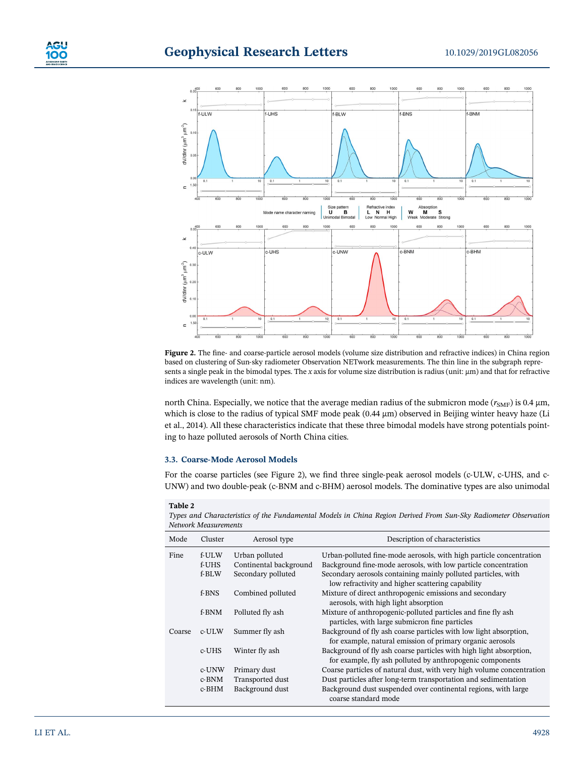



Figure 2. The fine- and coarse-particle aerosol models (volume size distribution and refractive indices) in China region based on clustering of Sun‐sky radiometer Observation NETwork measurements. The thin line in the subgraph represents a single peak in the bimodal types. The x axis for volume size distribution is radius (unit: μm) and that for refractive indices are wavelength (unit: nm).

north China. Especially, we notice that the average median radius of the submicron mode ( $r_{\text{SMF}}$ ) is 0.4  $\mu$ m, which is close to the radius of typical SMF mode peak (0.44 μm) observed in Beijing winter heavy haze (Li et al., 2014). All these characteristics indicate that these three bimodal models have strong potentials pointing to haze polluted aerosols of North China cities.

#### 3.3. Coarse‐Mode Aerosol Models

For the coarse particles (see Figure 2), we find three single-peak aerosol models (c-ULW, c-UHS, and c-UNW) and two double‐peak (c‐BNM and c‐BHM) aerosol models. The dominative types are also unimodal

| Network Measurements |          |                        |                                                                                                                                 |  |  |  |  |
|----------------------|----------|------------------------|---------------------------------------------------------------------------------------------------------------------------------|--|--|--|--|
| Mode                 | Cluster  | Aerosol type           | Description of characteristics                                                                                                  |  |  |  |  |
| Fine                 | f-ULW    | Urban polluted         | Urban-polluted fine-mode aerosols, with high particle concentration                                                             |  |  |  |  |
|                      | f-UHS    | Continental background | Background fine-mode aerosols, with low particle concentration                                                                  |  |  |  |  |
|                      | f-BLW    | Secondary polluted     | Secondary aerosols containing mainly polluted particles, with<br>low refractivity and higher scattering capability              |  |  |  |  |
|                      | f-BNS    | Combined polluted      | Mixture of direct anthropogenic emissions and secondary<br>aerosols, with high light absorption                                 |  |  |  |  |
|                      | f-BNM    | Polluted fly ash       | Mixture of anthropogenic-polluted particles and fine fly ash<br>particles, with large submicron fine particles                  |  |  |  |  |
| Coarse               | c-ULW    | Summer fly ash         | Background of fly ash coarse particles with low light absorption,<br>for example, natural emission of primary organic aerosols  |  |  |  |  |
|                      | $c$ -UHS | Winter fly ash         | Background of fly ash coarse particles with high light absorption,<br>for example, fly ash polluted by anthropogenic components |  |  |  |  |
|                      | c-UNW    | Primary dust           | Coarse particles of natural dust, with very high volume concentration                                                           |  |  |  |  |
|                      | c-BNM    | Transported dust       | Dust particles after long-term transportation and sedimentation                                                                 |  |  |  |  |
|                      | c-BHM    | Background dust        | Background dust suspended over continental regions, with large<br>coarse standard mode                                          |  |  |  |  |

Table 2

Types and Characteristics of the Fundamental Models in China Region Derived From Sun‐Sky Radiometer Observation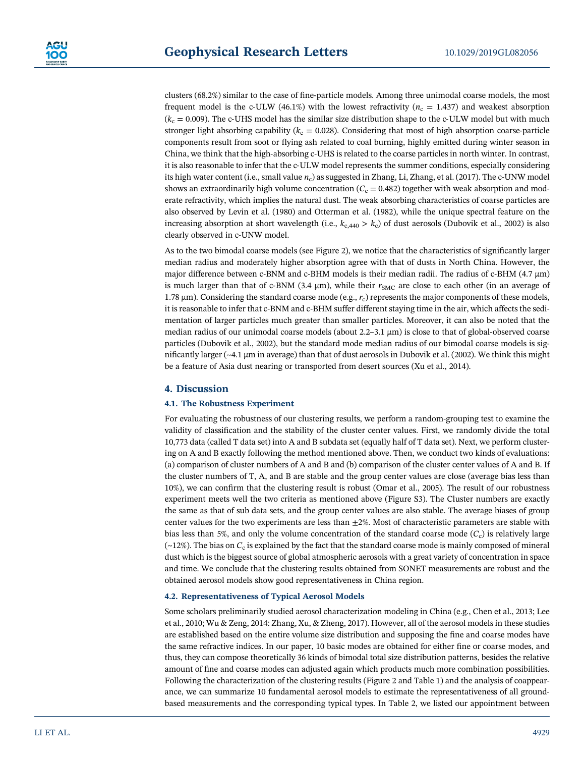clusters (68.2%) similar to the case of fine‐particle models. Among three unimodal coarse models, the most frequent model is the c-ULW (46.1%) with the lowest refractivity ( $n_c = 1.437$ ) and weakest absorption  $(k_c = 0.009)$ . The c-UHS model has the similar size distribution shape to the c-ULW model but with much stronger light absorbing capability ( $k_c = 0.028$ ). Considering that most of high absorption coarse-particle components result from soot or flying ash related to coal burning, highly emitted during winter season in China, we think that the high‐absorbing c‐UHS is related to the coarse particles in north winter. In contrast, it is also reasonable to infer that the c-ULW model represents the summer conditions, especially considering its high water content (i.e., small value  $n_c$ ) as suggested in Zhang, Li, Zhang, et al. (2017). The c-UNW model shows an extraordinarily high volume concentration ( $C_c = 0.482$ ) together with weak absorption and moderate refractivity, which implies the natural dust. The weak absorbing characteristics of coarse particles are also observed by Levin et al. (1980) and Otterman et al. (1982), while the unique spectral feature on the increasing absorption at short wavelength (i.e.,  $k_{c,440} > k_c$ ) of dust aerosols (Dubovik et al., 2002) is also clearly observed in c‐UNW model.

As to the two bimodal coarse models (see Figure 2), we notice that the characteristics of significantly larger median radius and moderately higher absorption agree with that of dusts in North China. However, the major difference between c-BNM and c-BHM models is their median radii. The radius of c-BHM (4.7  $\mu$ m) is much larger than that of c-BNM (3.4  $\mu$ m), while their  $r_{SMC}$  are close to each other (in an average of 1.78  $\mu$ m). Considering the standard coarse mode (e.g.,  $r_c$ ) represents the major components of these models, it is reasonable to infer that c‐BNM and c‐BHM suffer different staying time in the air, which affects the sedimentation of larger particles much greater than smaller particles. Moreover, it can also be noted that the median radius of our unimodal coarse models (about 2.2–3.1 μm) is close to that of global-observed coarse particles (Dubovik et al., 2002), but the standard mode median radius of our bimodal coarse models is significantly larger (~4.1 μm in average) than that of dust aerosols in Dubovik et al. (2002). We think this might be a feature of Asia dust nearing or transported from desert sources (Xu et al., 2014).

#### 4. Discussion

#### 4.1. The Robustness Experiment

For evaluating the robustness of our clustering results, we perform a random-grouping test to examine the validity of classification and the stability of the cluster center values. First, we randomly divide the total 10,773 data (called T data set) into A and B subdata set (equally half of T data set). Next, we perform clustering on A and B exactly following the method mentioned above. Then, we conduct two kinds of evaluations: (a) comparison of cluster numbers of A and B and (b) comparison of the cluster center values of A and B. If the cluster numbers of T, A, and B are stable and the group center values are close (average bias less than 10%), we can confirm that the clustering result is robust (Omar et al., 2005). The result of our robustness experiment meets well the two criteria as mentioned above (Figure S3). The Cluster numbers are exactly the same as that of sub data sets, and the group center values are also stable. The average biases of group center values for the two experiments are less than  $\pm 2\%$ . Most of characteristic parameters are stable with bias less than 5%, and only the volume concentration of the standard coarse mode  $(C_c)$  is relatively large  $(-12%)$ . The bias on  $C_c$  is explained by the fact that the standard coarse mode is mainly composed of mineral dust which is the biggest source of global atmospheric aerosols with a great variety of concentration in space and time. We conclude that the clustering results obtained from SONET measurements are robust and the obtained aerosol models show good representativeness in China region.

#### 4.2. Representativeness of Typical Aerosol Models

Some scholars preliminarily studied aerosol characterization modeling in China (e.g., Chen et al., 2013; Lee et al., 2010; Wu & Zeng, 2014: Zhang, Xu, & Zheng, 2017). However, all of the aerosol models in these studies are established based on the entire volume size distribution and supposing the fine and coarse modes have the same refractive indices. In our paper, 10 basic modes are obtained for either fine or coarse modes, and thus, they can compose theoretically 36 kinds of bimodal total size distribution patterns, besides the relative amount of fine and coarse modes can adjusted again which products much more combination possibilities. Following the characterization of the clustering results (Figure 2 and Table 1) and the analysis of coappearance, we can summarize 10 fundamental aerosol models to estimate the representativeness of all groundbased measurements and the corresponding typical types. In Table 2, we listed our appointment between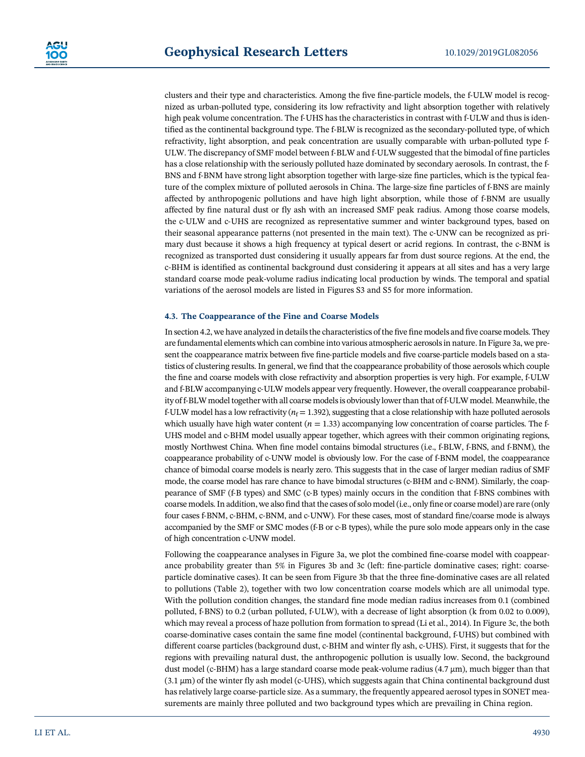clusters and their type and characteristics. Among the five fine‐particle models, the f‐ULW model is recognized as urban‐polluted type, considering its low refractivity and light absorption together with relatively high peak volume concentration. The f-UHS has the characteristics in contrast with f-ULW and thus is identified as the continental background type. The f-BLW is recognized as the secondary-polluted type, of which refractivity, light absorption, and peak concentration are usually comparable with urban-polluted type f-ULW. The discrepancy of SMF model between f‐BLW and f‐ULW suggested that the bimodal of fine particles has a close relationship with the seriously polluted haze dominated by secondary aerosols. In contrast, the f-BNS and f-BNM have strong light absorption together with large-size fine particles, which is the typical feature of the complex mixture of polluted aerosols in China. The large‐size fine particles of f‐BNS are mainly affected by anthropogenic pollutions and have high light absorption, while those of f‐BNM are usually affected by fine natural dust or fly ash with an increased SMF peak radius. Among those coarse models, the c-ULW and c-UHS are recognized as representative summer and winter background types, based on their seasonal appearance patterns (not presented in the main text). The c‐UNW can be recognized as primary dust because it shows a high frequency at typical desert or acrid regions. In contrast, the c-BNM is recognized as transported dust considering it usually appears far from dust source regions. At the end, the c‐BHM is identified as continental background dust considering it appears at all sites and has a very large standard coarse mode peak‐volume radius indicating local production by winds. The temporal and spatial variations of the aerosol models are listed in Figures S3 and S5 for more information.

#### 4.3. The Coappearance of the Fine and Coarse Models

In section 4.2, we have analyzed in details the characteristics of the five fine models and five coarse models. They are fundamental elements which can combine into various atmospheric aerosols in nature. In Figure 3a, we present the coappearance matrix between five fine-particle models and five coarse-particle models based on a statistics of clustering results. In general, we find that the coappearance probability of those aerosols which couple the fine and coarse models with close refractivity and absorption properties is very high. For example, f‐ULW and f-BLW accompanying c-ULW models appear very frequently. However, the overall coappearance probability of f‐BLW model together with all coarse models is obviously lower than that of f‐ULW model. Meanwhile, the f-ULW model has a low refractivity ( $n_f = 1.392$ ), suggesting that a close relationship with haze polluted aerosols which usually have high water content ( $n = 1.33$ ) accompanying low concentration of coarse particles. The f-UHS model and c-BHM model usually appear together, which agrees with their common originating regions, mostly Northwest China. When fine model contains bimodal structures (i.e., f-BLW, f-BNS, and f-BNM), the coappearance probability of c‐UNW model is obviously low. For the case of f‐BNM model, the coappearance chance of bimodal coarse models is nearly zero. This suggests that in the case of larger median radius of SMF mode, the coarse model has rare chance to have bimodal structures (c-BHM and c-BNM). Similarly, the coappearance of SMF (f‐B types) and SMC (c‐B types) mainly occurs in the condition that f‐BNS combines with coarse models. In addition, we also find that the cases of solo model (i.e., only fine or coarse model) are rare (only four cases f-BNM, c-BHM, c-BNM, and c-UNW). For these cases, most of standard fine/coarse mode is always accompanied by the SMF or SMC modes (f‐B or c‐B types), while the pure solo mode appears only in the case of high concentration c‐UNW model.

Following the coappearance analyses in Figure 3a, we plot the combined fine‐coarse model with coappearance probability greater than 5% in Figures 3b and 3c (left: fine-particle dominative cases; right: coarseparticle dominative cases). It can be seen from Figure 3b that the three fine‐dominative cases are all related to pollutions (Table 2), together with two low concentration coarse models which are all unimodal type. With the pollution condition changes, the standard fine mode median radius increases from 0.1 (combined polluted, f-BNS) to 0.2 (urban polluted, f-ULW), with a decrease of light absorption (k from 0.02 to 0.009), which may reveal a process of haze pollution from formation to spread (Li et al., 2014). In Figure 3c, the both coarse-dominative cases contain the same fine model (continental background, f-UHS) but combined with different coarse particles (background dust, c‐BHM and winter fly ash, c‐UHS). First, it suggests that for the regions with prevailing natural dust, the anthropogenic pollution is usually low. Second, the background dust model (c‐BHM) has a large standard coarse mode peak‐volume radius (4.7 μm), much bigger than that (3.1 μm) of the winter fly ash model (c‐UHS), which suggests again that China continental background dust has relatively large coarse-particle size. As a summary, the frequently appeared aerosol types in SONET measurements are mainly three polluted and two background types which are prevailing in China region.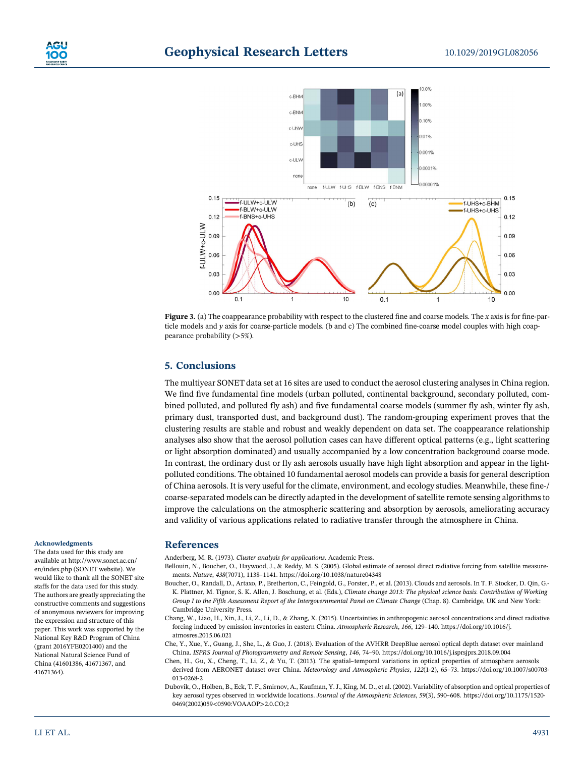

Figure 3. (a) The coappearance probability with respect to the clustered fine and coarse models. The  $x$  axis is for fine-particle models and y axis for coarse‐particle models. (b and c) The combined fine‐coarse model couples with high coappearance probability (>5%).

#### 5. Conclusions

The multiyear SONET data set at 16 sites are used to conduct the aerosol clustering analyses in China region. We find five fundamental fine models (urban polluted, continental background, secondary polluted, combined polluted, and polluted fly ash) and five fundamental coarse models (summer fly ash, winter fly ash, primary dust, transported dust, and background dust). The random‐grouping experiment proves that the clustering results are stable and robust and weakly dependent on data set. The coappearance relationship analyses also show that the aerosol pollution cases can have different optical patterns (e.g., light scattering or light absorption dominated) and usually accompanied by a low concentration background coarse mode. In contrast, the ordinary dust or fly ash aerosols usually have high light absorption and appear in the lightpolluted conditions. The obtained 10 fundamental aerosol models can provide a basis for general description of China aerosols. It is very useful for the climate, environment, and ecology studies. Meanwhile, these fine‐/ coarse‐separated models can be directly adapted in the development of satellite remote sensing algorithms to improve the calculations on the atmospheric scattering and absorption by aerosols, ameliorating accuracy and validity of various applications related to radiative transfer through the atmosphere in China.

#### Acknowledgments

The data used for this study are available at [http://www.sonet.ac.cn/](http://www.sonet.ac.cn/en/index.php) [en/index.php](http://www.sonet.ac.cn/en/index.php) (SONET website). We would like to thank all the SONET site staffs for the data used for this study. The authors are greatly appreciating the constructive comments and suggestions of anonymous reviewers for improving the expression and structure of this paper. This work was supported by the National Key R&D Program of China (grant 2016YFE0201400) and the National Natural Science Fund of China (41601386, 41671367, and 41671364).

#### References

Anderberg, M. R. (1973). Cluster analysis for applications. Academic Press.

- Bellouin, N., Boucher, O., Haywood, J., & Reddy, M. S. (2005). Global estimate of aerosol direct radiative forcing from satellite measurements. Nature, 438(7071), 1138–1141.<https://doi.org/10.1038/nature04348>
- Boucher, O., Randall, D., Artaxo, P., Bretherton, C., Feingold, G., Forster, P., et al. (2013). Clouds and aerosols. In T. F. Stocker, D. Qin, G.‐ K. Plattner, M. Tignor, S. K. Allen, J. Boschung, et al. (Eds.), Climate change 2013: The physical science basis. Contribution of Working Group I to the Fifth Assessment Report of the Intergovernmental Panel on Climate Change (Chap. 8). Cambridge, UK and New York: Cambridge University Press.
- Chang, W., Liao, H., Xin, J., Li, Z., Li, D., & Zhang, X. (2015). Uncertainties in anthropogenic aerosol concentrations and direct radiative forcing induced by emission inventories in eastern China. Atmospheric Research, 166, 129–140. [https://doi.org/10.1016/j.](https://doi.org/10.1016/j.atmosres.2015.06.021) [atmosres.2015.06.021](https://doi.org/10.1016/j.atmosres.2015.06.021)
- Che, Y., Xue, Y., Guang, J., She, L., & Guo, J. (2018). Evaluation of the AVHRR DeepBlue aerosol optical depth dataset over mainland China. ISPRS Journal of Photogrammetry and Remote Sensing, 146, 74–90.<https://doi.org/10.1016/j.isprsjprs.2018.09.004>
- Chen, H., Gu, X., Cheng, T., Li, Z., & Yu, T. (2013). The spatial–temporal variations in optical properties of atmosphere aerosols derived from AERONET dataset over China. Meteorology and Atmospheric Physics, 122(1-2), 65–73. [https://doi.org/10.1007/s00703](https://doi.org/10.1007/s00703-013-0268-2)-013‐[0268](https://doi.org/10.1007/s00703-013-0268-2)‐2
- Dubovik, O., Holben, B., Eck, T. F., Smirnov, A., Kaufman, Y. J., King, M. D., et al. (2002). Variability of absorption and optical properties of key aerosol types observed in worldwide locations. Journal of the Atmospheric Sciences, 59(3), 590-608. [https://doi.org/10.1175/1520](https://doi.org/10.1175/1520-0469(2002)059%3c0590:VOAAOP%3e2.0.CO;2)-[0469\(2002\)059<0590:VOAAOP>2.0.CO;2](https://doi.org/10.1175/1520-0469(2002)059%3c0590:VOAAOP%3e2.0.CO;2)